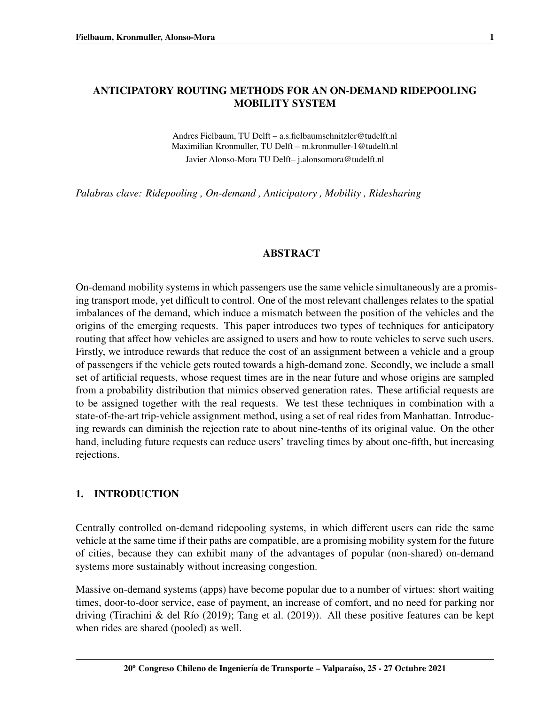# ANTICIPATORY ROUTING METHODS FOR AN ON-DEMAND RIDEPOOLING MOBILITY SYSTEM

Andres Fielbaum, TU Delft – a.s.fielbaumschnitzler@tudelft.nl Maximilian Kronmuller, TU Delft – m.kronmuller-1@tudelft.nl Javier Alonso-Mora TU Delft– j.alonsomora@tudelft.nl

*Palabras clave: Ridepooling , On-demand , Anticipatory , Mobility , Ridesharing*

#### ABSTRACT

On-demand mobility systems in which passengers use the same vehicle simultaneously are a promising transport mode, yet difficult to control. One of the most relevant challenges relates to the spatial imbalances of the demand, which induce a mismatch between the position of the vehicles and the origins of the emerging requests. This paper introduces two types of techniques for anticipatory routing that affect how vehicles are assigned to users and how to route vehicles to serve such users. Firstly, we introduce rewards that reduce the cost of an assignment between a vehicle and a group of passengers if the vehicle gets routed towards a high-demand zone. Secondly, we include a small set of artificial requests, whose request times are in the near future and whose origins are sampled from a probability distribution that mimics observed generation rates. These artificial requests are to be assigned together with the real requests. We test these techniques in combination with a state-of-the-art trip-vehicle assignment method, using a set of real rides from Manhattan. Introducing rewards can diminish the rejection rate to about nine-tenths of its original value. On the other hand, including future requests can reduce users' traveling times by about one-fifth, but increasing rejections.

## 1. INTRODUCTION

Centrally controlled on-demand ridepooling systems, in which different users can ride the same vehicle at the same time if their paths are compatible, are a promising mobility system for the future of cities, because they can exhibit many of the advantages of popular (non-shared) on-demand systems more sustainably without increasing congestion.

Massive on-demand systems (apps) have become popular due to a number of virtues: short waiting times, door-to-door service, ease of payment, an increase of comfort, and no need for parking nor driving (Tirachini & del Río [\(2019\)](#page-14-1); [Tang et al.](#page-14-1) (2019)). All these positive features can be kept when rides are shared (pooled) as well.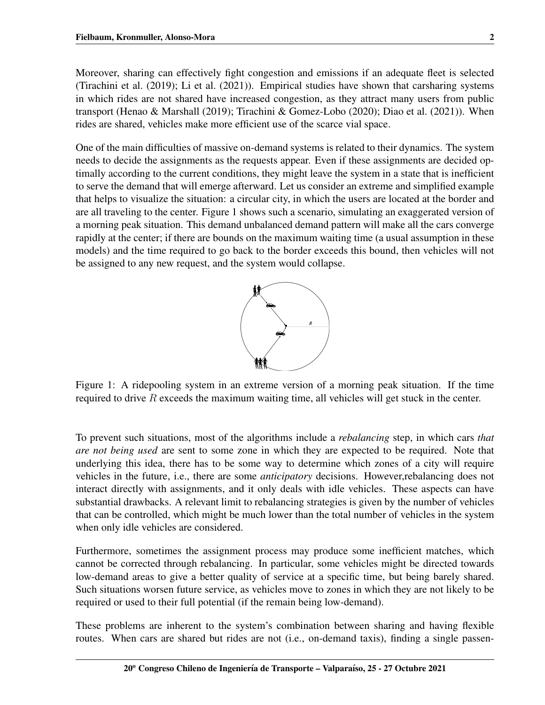Moreover, sharing can effectively fight congestion and emissions if an adequate fleet is selected [\(Tirachini et al.](#page-14-2) [\(2019\)](#page-14-2); [Li et al.](#page-14-3) [\(2021\)](#page-14-3)). Empirical studies have shown that carsharing systems in which rides are not shared have increased congestion, as they attract many users from public transport [\(Henao & Marshall](#page-14-4) [\(2019\)](#page-14-4); [Tirachini & Gomez-Lobo](#page-14-5) [\(2020\)](#page-14-5); [Diao et al.](#page-13-0) [\(2021\)](#page-13-0)). When rides are shared, vehicles make more efficient use of the scarce vial space.

One of the main difficulties of massive on-demand systems is related to their dynamics. The system needs to decide the assignments as the requests appear. Even if these assignments are decided optimally according to the current conditions, they might leave the system in a state that is inefficient to serve the demand that will emerge afterward. Let us consider an extreme and simplified example that helps to visualize the situation: a circular city, in which the users are located at the border and are all traveling to the center. Figure [1](#page-1-0) shows such a scenario, simulating an exaggerated version of a morning peak situation. This demand unbalanced demand pattern will make all the cars converge rapidly at the center; if there are bounds on the maximum waiting time (a usual assumption in these models) and the time required to go back to the border exceeds this bound, then vehicles will not be assigned to any new request, and the system would collapse.



<span id="page-1-0"></span>Figure 1: A ridepooling system in an extreme version of a morning peak situation. If the time required to drive  $R$  exceeds the maximum waiting time, all vehicles will get stuck in the center.

To prevent such situations, most of the algorithms include a *rebalancing* step, in which cars *that are not being used* are sent to some zone in which they are expected to be required. Note that underlying this idea, there has to be some way to determine which zones of a city will require vehicles in the future, i.e., there are some *anticipatory* decisions. However,rebalancing does not interact directly with assignments, and it only deals with idle vehicles. These aspects can have substantial drawbacks. A relevant limit to rebalancing strategies is given by the number of vehicles that can be controlled, which might be much lower than the total number of vehicles in the system when only idle vehicles are considered.

Furthermore, sometimes the assignment process may produce some inefficient matches, which cannot be corrected through rebalancing. In particular, some vehicles might be directed towards low-demand areas to give a better quality of service at a specific time, but being barely shared. Such situations worsen future service, as vehicles move to zones in which they are not likely to be required or used to their full potential (if the remain being low-demand).

These problems are inherent to the system's combination between sharing and having flexible routes. When cars are shared but rides are not (i.e., on-demand taxis), finding a single passen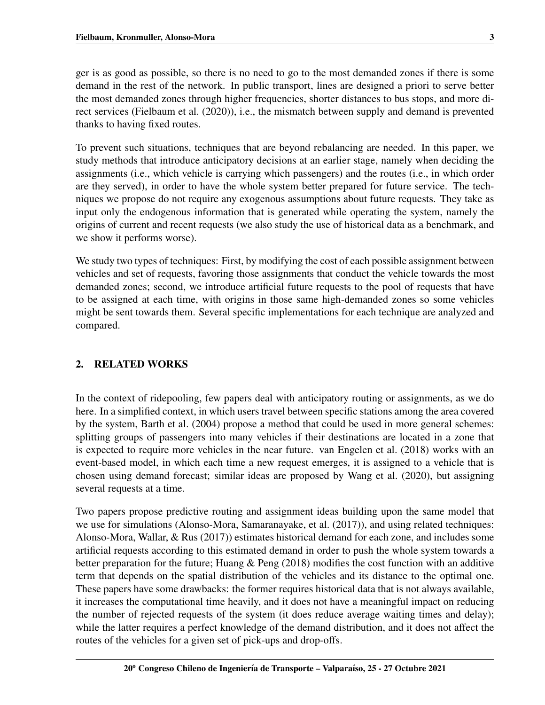ger is as good as possible, so there is no need to go to the most demanded zones if there is some demand in the rest of the network. In public transport, lines are designed a priori to serve better the most demanded zones through higher frequencies, shorter distances to bus stops, and more direct services [\(Fielbaum et al.](#page-13-1) [\(2020\)](#page-13-1)), i.e., the mismatch between supply and demand is prevented thanks to having fixed routes.

To prevent such situations, techniques that are beyond rebalancing are needed. In this paper, we study methods that introduce anticipatory decisions at an earlier stage, namely when deciding the assignments (i.e., which vehicle is carrying which passengers) and the routes (i.e., in which order are they served), in order to have the whole system better prepared for future service. The techniques we propose do not require any exogenous assumptions about future requests. They take as input only the endogenous information that is generated while operating the system, namely the origins of current and recent requests (we also study the use of historical data as a benchmark, and we show it performs worse).

We study two types of techniques: First, by modifying the cost of each possible assignment between vehicles and set of requests, favoring those assignments that conduct the vehicle towards the most demanded zones; second, we introduce artificial future requests to the pool of requests that have to be assigned at each time, with origins in those same high-demanded zones so some vehicles might be sent towards them. Several specific implementations for each technique are analyzed and compared.

# 2. RELATED WORKS

In the context of ridepooling, few papers deal with anticipatory routing or assignments, as we do here. In a simplified context, in which users travel between specific stations among the area covered by the system, [Barth et al.](#page-13-2) [\(2004\)](#page-13-2) propose a method that could be used in more general schemes: splitting groups of passengers into many vehicles if their destinations are located in a zone that is expected to require more vehicles in the near future. [van Engelen et al.](#page-14-6) [\(2018\)](#page-14-6) works with an event-based model, in which each time a new request emerges, it is assigned to a vehicle that is chosen using demand forecast; similar ideas are proposed by [Wang et al.](#page-14-7) [\(2020\)](#page-14-7), but assigning several requests at a time.

Two papers propose predictive routing and assignment ideas building upon the same model that we use for simulations [\(Alonso-Mora, Samaranayake, et al.](#page-13-3) [\(2017\)](#page-13-3)), and using related techniques: [Alonso-Mora, Wallar, & Rus](#page-13-4) [\(2017\)](#page-13-4)) estimates historical demand for each zone, and includes some artificial requests according to this estimated demand in order to push the whole system towards a better preparation for the future; [Huang & Peng](#page-14-8) [\(2018\)](#page-14-8) modifies the cost function with an additive term that depends on the spatial distribution of the vehicles and its distance to the optimal one. These papers have some drawbacks: the former requires historical data that is not always available, it increases the computational time heavily, and it does not have a meaningful impact on reducing the number of rejected requests of the system (it does reduce average waiting times and delay); while the latter requires a perfect knowledge of the demand distribution, and it does not affect the routes of the vehicles for a given set of pick-ups and drop-offs.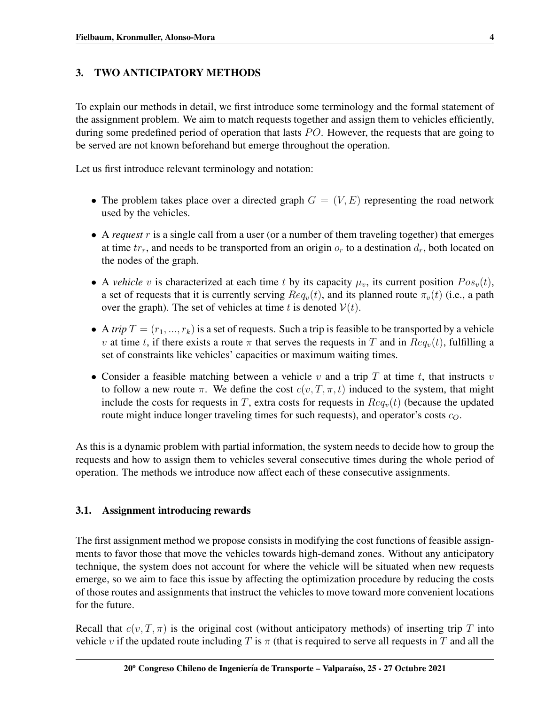# 3. TWO ANTICIPATORY METHODS

To explain our methods in detail, we first introduce some terminology and the formal statement of the assignment problem. We aim to match requests together and assign them to vehicles efficiently, during some predefined period of operation that lasts  $PO$ . However, the requests that are going to be served are not known beforehand but emerge throughout the operation.

Let us first introduce relevant terminology and notation:

- The problem takes place over a directed graph  $G = (V, E)$  representing the road network used by the vehicles.
- A *request* r is a single call from a user (or a number of them traveling together) that emerges at time  $tr_r$ , and needs to be transported from an origin  $o_r$  to a destination  $d_r$ , both located on the nodes of the graph.
- A *vehicle* v is characterized at each time t by its capacity  $\mu_v$ , its current position  $Pos_v(t)$ , a set of requests that it is currently serving  $Re q_v(t)$ , and its planned route  $\pi_v(t)$  (i.e., a path over the graph). The set of vehicles at time t is denoted  $V(t)$ .
- A *trip*  $T = (r_1, ..., r_k)$  is a set of requests. Such a trip is feasible to be transported by a vehicle v at time t, if there exists a route  $\pi$  that serves the requests in T and in  $Req_v(t)$ , fulfilling a set of constraints like vehicles' capacities or maximum waiting times.
- Consider a feasible matching between a vehicle  $v$  and a trip  $T$  at time  $t$ , that instructs  $v$ to follow a new route  $\pi$ . We define the cost  $c(v, T, \pi, t)$  induced to the system, that might include the costs for requests in T, extra costs for requests in  $Re q_v(t)$  (because the updated route might induce longer traveling times for such requests), and operator's costs  $c_O$ .

As this is a dynamic problem with partial information, the system needs to decide how to group the requests and how to assign them to vehicles several consecutive times during the whole period of operation. The methods we introduce now affect each of these consecutive assignments.

## 3.1. Assignment introducing rewards

The first assignment method we propose consists in modifying the cost functions of feasible assignments to favor those that move the vehicles towards high-demand zones. Without any anticipatory technique, the system does not account for where the vehicle will be situated when new requests emerge, so we aim to face this issue by affecting the optimization procedure by reducing the costs of those routes and assignments that instruct the vehicles to move toward more convenient locations for the future.

Recall that  $c(v, T, \pi)$  is the original cost (without anticipatory methods) of inserting trip T into vehicle v if the updated route including T is  $\pi$  (that is required to serve all requests in T and all the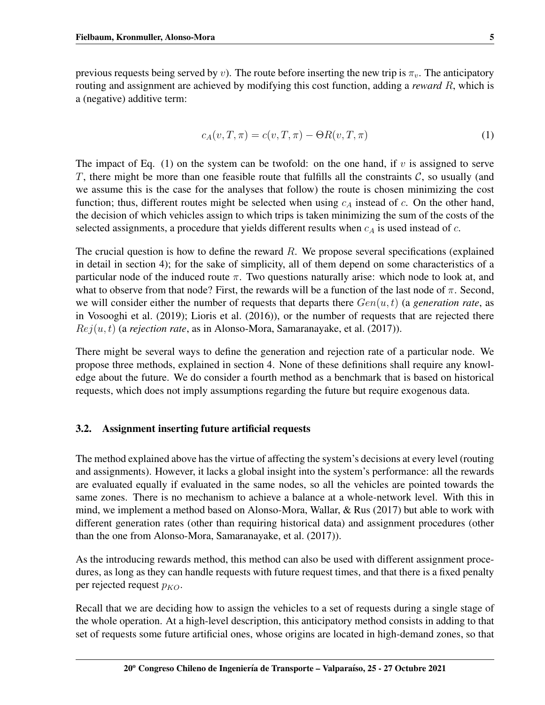previous requests being served by v). The route before inserting the new trip is  $\pi_v$ . The anticipatory routing and assignment are achieved by modifying this cost function, adding a *reward* R, which is a (negative) additive term:

<span id="page-4-0"></span>
$$
c_A(v, T, \pi) = c(v, T, \pi) - \Theta R(v, T, \pi)
$$
\n<sup>(1)</sup>

The impact of Eq.  $(1)$  on the system can be twofold: on the one hand, if v is assigned to serve T, there might be more than one feasible route that fulfills all the constraints  $\mathcal{C}$ , so usually (and we assume this is the case for the analyses that follow) the route is chosen minimizing the cost function; thus, different routes might be selected when using  $c_A$  instead of c. On the other hand, the decision of which vehicles assign to which trips is taken minimizing the sum of the costs of the selected assignments, a procedure that yields different results when  $c<sub>A</sub>$  is used instead of c.

The crucial question is how to define the reward  $R$ . We propose several specifications (explained in detail in section [4\)](#page-5-0); for the sake of simplicity, all of them depend on some characteristics of a particular node of the induced route  $\pi$ . Two questions naturally arise: which node to look at, and what to observe from that node? First, the rewards will be a function of the last node of  $\pi$ . Second, we will consider either the number of requests that departs there  $Gen(u, t)$  (a *generation rate*, as in [Vosooghi et al.](#page-14-9) [\(2019\)](#page-14-9); [Lioris et al.](#page-14-10) [\(2016\)](#page-14-10)), or the number of requests that are rejected there  $Rej(u, t)$  (a *rejection rate*, as in [Alonso-Mora, Samaranayake, et al.](#page-13-3) [\(2017\)](#page-13-3)).

There might be several ways to define the generation and rejection rate of a particular node. We propose three methods, explained in section [4.](#page-5-0) None of these definitions shall require any knowledge about the future. We do consider a fourth method as a benchmark that is based on historical requests, which does not imply assumptions regarding the future but require exogenous data.

#### 3.2. Assignment inserting future artificial requests

The method explained above has the virtue of affecting the system's decisions at every level (routing and assignments). However, it lacks a global insight into the system's performance: all the rewards are evaluated equally if evaluated in the same nodes, so all the vehicles are pointed towards the same zones. There is no mechanism to achieve a balance at a whole-network level. With this in mind, we implement a method based on [Alonso-Mora, Wallar, & Rus](#page-13-4) [\(2017\)](#page-13-4) but able to work with different generation rates (other than requiring historical data) and assignment procedures (other than the one from [Alonso-Mora, Samaranayake, et al.](#page-13-3) [\(2017\)](#page-13-3)).

As the introducing rewards method, this method can also be used with different assignment procedures, as long as they can handle requests with future request times, and that there is a fixed penalty per rejected request  $p_{KO}$ .

Recall that we are deciding how to assign the vehicles to a set of requests during a single stage of the whole operation. At a high-level description, this anticipatory method consists in adding to that set of requests some future artificial ones, whose origins are located in high-demand zones, so that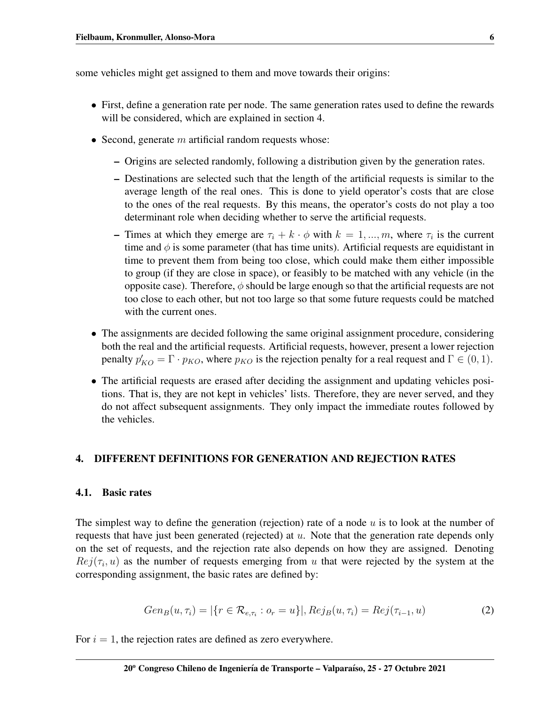some vehicles might get assigned to them and move towards their origins:

- First, define a generation rate per node. The same generation rates used to define the rewards will be considered, which are explained in section [4.](#page-5-0)
- Second, generate  $m$  artificial random requests whose:
	- Origins are selected randomly, following a distribution given by the generation rates.
	- Destinations are selected such that the length of the artificial requests is similar to the average length of the real ones. This is done to yield operator's costs that are close to the ones of the real requests. By this means, the operator's costs do not play a too determinant role when deciding whether to serve the artificial requests.
	- Times at which they emerge are  $\tau_i + k \cdot \phi$  with  $k = 1, ..., m$ , where  $\tau_i$  is the current time and  $\phi$  is some parameter (that has time units). Artificial requests are equidistant in time to prevent them from being too close, which could make them either impossible to group (if they are close in space), or feasibly to be matched with any vehicle (in the opposite case). Therefore,  $\phi$  should be large enough so that the artificial requests are not too close to each other, but not too large so that some future requests could be matched with the current ones.
- The assignments are decided following the same original assignment procedure, considering both the real and the artificial requests. Artificial requests, however, present a lower rejection penalty  $p'_{KO} = \Gamma \cdot p_{KO}$ , where  $p_{KO}$  is the rejection penalty for a real request and  $\Gamma \in (0, 1)$ .
- The artificial requests are erased after deciding the assignment and updating vehicles positions. That is, they are not kept in vehicles' lists. Therefore, they are never served, and they do not affect subsequent assignments. They only impact the immediate routes followed by the vehicles.

## <span id="page-5-0"></span>4. DIFFERENT DEFINITIONS FOR GENERATION AND REJECTION RATES

#### 4.1. Basic rates

The simplest way to define the generation (rejection) rate of a node  $u$  is to look at the number of requests that have just been generated (rejected) at  $u$ . Note that the generation rate depends only on the set of requests, and the rejection rate also depends on how they are assigned. Denoting  $Rej(\tau_i, u)$  as the number of requests emerging from u that were rejected by the system at the corresponding assignment, the basic rates are defined by:

$$
Gen_B(u, \tau_i) = |\{r \in \mathcal{R}_{e, \tau_i} : o_r = u\}|, Rej_B(u, \tau_i) = Rej(\tau_{i-1}, u)
$$
\n(2)

For  $i = 1$ , the rejection rates are defined as zero everywhere.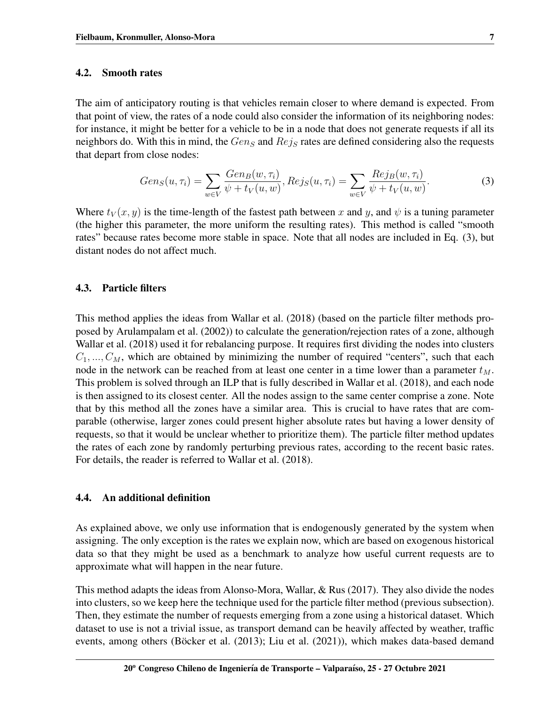## 4.2. Smooth rates

The aim of anticipatory routing is that vehicles remain closer to where demand is expected. From that point of view, the rates of a node could also consider the information of its neighboring nodes: for instance, it might be better for a vehicle to be in a node that does not generate requests if all its neighbors do. With this in mind, the  $Gen_S$  and  $Rej_S$  rates are defined considering also the requests that depart from close nodes:

<span id="page-6-0"></span>
$$
Gen_S(u, \tau_i) = \sum_{w \in V} \frac{Gen_B(w, \tau_i)}{\psi + t_V(u, w)}, Rej_S(u, \tau_i) = \sum_{w \in V} \frac{Rej_B(w, \tau_i)}{\psi + t_V(u, w)}.
$$
(3)

Where  $t_V(x, y)$  is the time-length of the fastest path between x and y, and  $\psi$  is a tuning parameter (the higher this parameter, the more uniform the resulting rates). This method is called "smooth rates" because rates become more stable in space. Note that all nodes are included in Eq. [\(3\)](#page-6-0), but distant nodes do not affect much.

## 4.3. Particle filters

This method applies the ideas from [Wallar et al.](#page-14-11) [\(2018\)](#page-14-11) (based on the particle filter methods proposed by [Arulampalam et al.](#page-13-5) [\(2002\)](#page-13-5)) to calculate the generation/rejection rates of a zone, although [Wallar et al.](#page-14-11) [\(2018\)](#page-14-11) used it for rebalancing purpose. It requires first dividing the nodes into clusters  $C_1, ..., C_M$ , which are obtained by minimizing the number of required "centers", such that each node in the network can be reached from at least one center in a time lower than a parameter  $t_M$ . This problem is solved through an ILP that is fully described in [Wallar et al.](#page-14-11) [\(2018\)](#page-14-11), and each node is then assigned to its closest center. All the nodes assign to the same center comprise a zone. Note that by this method all the zones have a similar area. This is crucial to have rates that are comparable (otherwise, larger zones could present higher absolute rates but having a lower density of requests, so that it would be unclear whether to prioritize them). The particle filter method updates the rates of each zone by randomly perturbing previous rates, according to the recent basic rates. For details, the reader is referred to [Wallar et al.](#page-14-11) [\(2018\)](#page-14-11).

#### 4.4. An additional definition

As explained above, we only use information that is endogenously generated by the system when assigning. The only exception is the rates we explain now, which are based on exogenous historical data so that they might be used as a benchmark to analyze how useful current requests are to approximate what will happen in the near future.

This method adapts the ideas from [Alonso-Mora, Wallar, & Rus](#page-13-4) [\(2017\)](#page-13-4). They also divide the nodes into clusters, so we keep here the technique used for the particle filter method (previous subsection). Then, they estimate the number of requests emerging from a zone using a historical dataset. Which dataset to use is not a trivial issue, as transport demand can be heavily affected by weather, traffic events, among others (Böcker et al.  $(2013)$ ; [Liu et al.](#page-14-12)  $(2021)$ ), which makes data-based demand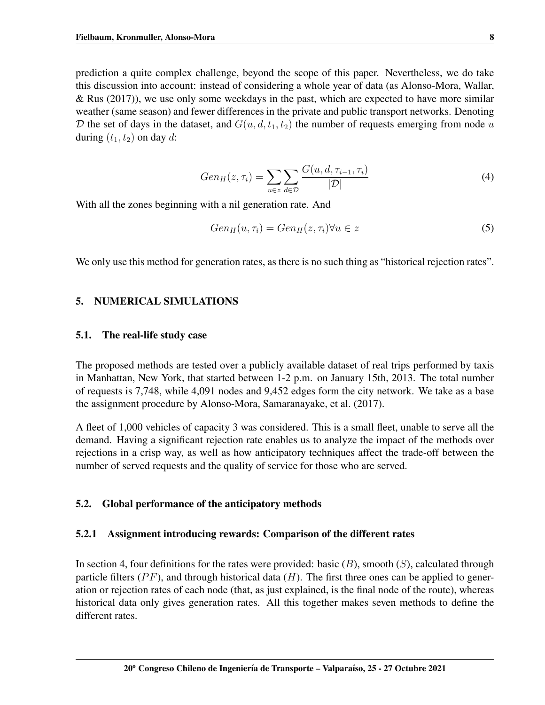prediction a quite complex challenge, beyond the scope of this paper. Nevertheless, we do take this discussion into account: instead of considering a whole year of data (as [Alonso-Mora, Wallar,](#page-13-4) [& Rus](#page-13-4)  $(2017)$ , we use only some weekdays in the past, which are expected to have more similar weather (same season) and fewer differences in the private and public transport networks. Denoting D the set of days in the dataset, and  $G(u, d, t_1, t_2)$  the number of requests emerging from node u during  $(t_1, t_2)$  on day d:

$$
Gen_H(z, \tau_i) = \sum_{u \in z} \sum_{d \in \mathcal{D}} \frac{G(u, d, \tau_{i-1}, \tau_i)}{|\mathcal{D}|} \tag{4}
$$

With all the zones beginning with a nil generation rate. And

$$
Gen_H(u, \tau_i) = Gen_H(z, \tau_i) \forall u \in z \tag{5}
$$

We only use this method for generation rates, as there is no such thing as "historical rejection rates".

#### 5. NUMERICAL SIMULATIONS

#### 5.1. The real-life study case

The proposed methods are tested over a publicly available dataset of real trips performed by taxis in Manhattan, New York, that started between 1-2 p.m. on January 15th, 2013. The total number of requests is 7,748, while 4,091 nodes and 9,452 edges form the city network. We take as a base the assignment procedure by [Alonso-Mora, Samaranayake, et al.](#page-13-3) [\(2017\)](#page-13-3).

A fleet of 1,000 vehicles of capacity 3 was considered. This is a small fleet, unable to serve all the demand. Having a significant rejection rate enables us to analyze the impact of the methods over rejections in a crisp way, as well as how anticipatory techniques affect the trade-off between the number of served requests and the quality of service for those who are served.

## 5.2. Global performance of the anticipatory methods

#### 5.2.1 Assignment introducing rewards: Comparison of the different rates

In section [4,](#page-5-0) four definitions for the rates were provided: basic  $(B)$ , smooth  $(S)$ , calculated through particle filters ( $PF$ ), and through historical data (H). The first three ones can be applied to generation or rejection rates of each node (that, as just explained, is the final node of the route), whereas historical data only gives generation rates. All this together makes seven methods to define the different rates.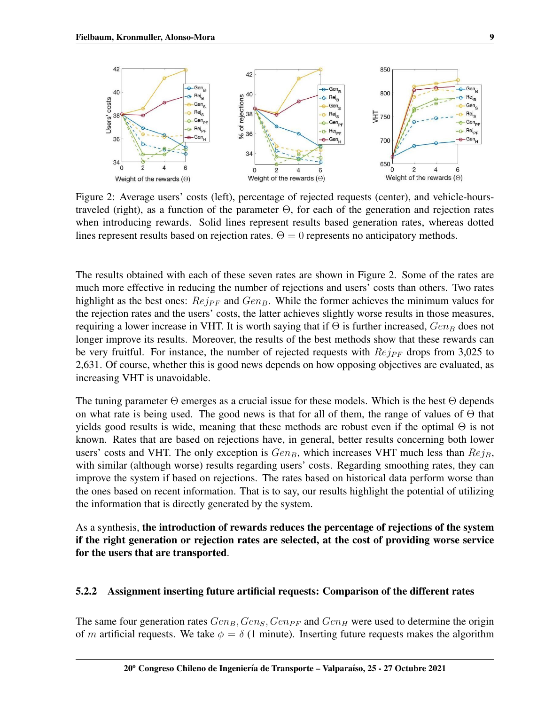<span id="page-8-0"></span>

Figure 2: Average users' costs (left), percentage of rejected requests (center), and vehicle-hourstraveled (right), as a function of the parameter Θ, for each of the generation and rejection rates when introducing rewards. Solid lines represent results based generation rates, whereas dotted lines represent results based on rejection rates.  $\Theta = 0$  represents no anticipatory methods.

The results obtained with each of these seven rates are shown in Figure [2.](#page-8-0) Some of the rates are much more effective in reducing the number of rejections and users' costs than others. Two rates highlight as the best ones:  $Rej_{PF}$  and  $Gen_B$ . While the former achieves the minimum values for the rejection rates and the users' costs, the latter achieves slightly worse results in those measures, requiring a lower increase in VHT. It is worth saying that if  $\Theta$  is further increased,  $Gen_B$  does not longer improve its results. Moreover, the results of the best methods show that these rewards can be very fruitful. For instance, the number of rejected requests with  $Rej_{PF}$  drops from 3,025 to 2,631. Of course, whether this is good news depends on how opposing objectives are evaluated, as increasing VHT is unavoidable.

The tuning parameter  $\Theta$  emerges as a crucial issue for these models. Which is the best  $\Theta$  depends on what rate is being used. The good news is that for all of them, the range of values of  $\Theta$  that yields good results is wide, meaning that these methods are robust even if the optimal  $\Theta$  is not known. Rates that are based on rejections have, in general, better results concerning both lower users' costs and VHT. The only exception is  $Gen_B$ , which increases VHT much less than  $Rej_B$ , with similar (although worse) results regarding users' costs. Regarding smoothing rates, they can improve the system if based on rejections. The rates based on historical data perform worse than the ones based on recent information. That is to say, our results highlight the potential of utilizing the information that is directly generated by the system.

As a synthesis, the introduction of rewards reduces the percentage of rejections of the system if the right generation or rejection rates are selected, at the cost of providing worse service for the users that are transported.

## 5.2.2 Assignment inserting future artificial requests: Comparison of the different rates

The same four generation rates  $Gen_B, Gen_B, Gen_{PF}$  and  $Gen_H$  were used to determine the origin of m artificial requests. We take  $\phi = \delta$  (1 minute). Inserting future requests makes the algorithm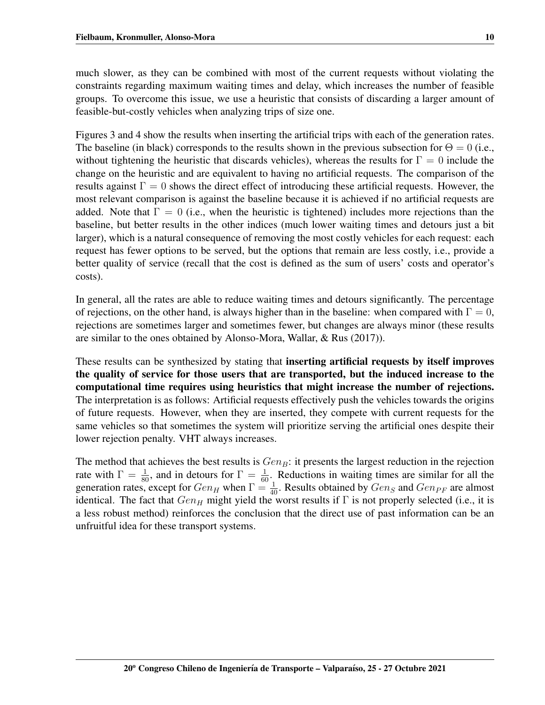much slower, as they can be combined with most of the current requests without violating the constraints regarding maximum waiting times and delay, which increases the number of feasible groups. To overcome this issue, we use a heuristic that consists of discarding a larger amount of feasible-but-costly vehicles when analyzing trips of size one.

Figures [3](#page-10-0) and [4](#page-10-1) show the results when inserting the artificial trips with each of the generation rates. The baseline (in black) corresponds to the results shown in the previous subsection for  $\Theta = 0$  (i.e., without tightening the heuristic that discards vehicles), whereas the results for  $\Gamma = 0$  include the change on the heuristic and are equivalent to having no artificial requests. The comparison of the results against  $\Gamma = 0$  shows the direct effect of introducing these artificial requests. However, the most relevant comparison is against the baseline because it is achieved if no artificial requests are added. Note that  $\Gamma = 0$  (i.e., when the heuristic is tightened) includes more rejections than the baseline, but better results in the other indices (much lower waiting times and detours just a bit larger), which is a natural consequence of removing the most costly vehicles for each request: each request has fewer options to be served, but the options that remain are less costly, i.e., provide a better quality of service (recall that the cost is defined as the sum of users' costs and operator's costs).

In general, all the rates are able to reduce waiting times and detours significantly. The percentage of rejections, on the other hand, is always higher than in the baseline: when compared with  $\Gamma = 0$ , rejections are sometimes larger and sometimes fewer, but changes are always minor (these results are similar to the ones obtained by [Alonso-Mora, Wallar, & Rus](#page-13-4) [\(2017\)](#page-13-4)).

These results can be synthesized by stating that inserting artificial requests by itself improves the quality of service for those users that are transported, but the induced increase to the computational time requires using heuristics that might increase the number of rejections. The interpretation is as follows: Artificial requests effectively push the vehicles towards the origins of future requests. However, when they are inserted, they compete with current requests for the same vehicles so that sometimes the system will prioritize serving the artificial ones despite their lower rejection penalty. VHT always increases.

The method that achieves the best results is  $Gen_B$ : it presents the largest reduction in the rejection rate with  $\Gamma = \frac{1}{80}$ , and in detours for  $\Gamma = \frac{1}{60}$ . Reductions in waiting times are similar for all the generation rates, except for  $Gen_H$  when  $\Gamma = \frac{1}{40}$ . Results obtained by  $Gen_S$  and  $Gen_{PF}$  are almost identical. The fact that  $Gen_H$  might yield the worst results if  $\Gamma$  is not properly selected (i.e., it is a less robust method) reinforces the conclusion that the direct use of past information can be an unfruitful idea for these transport systems.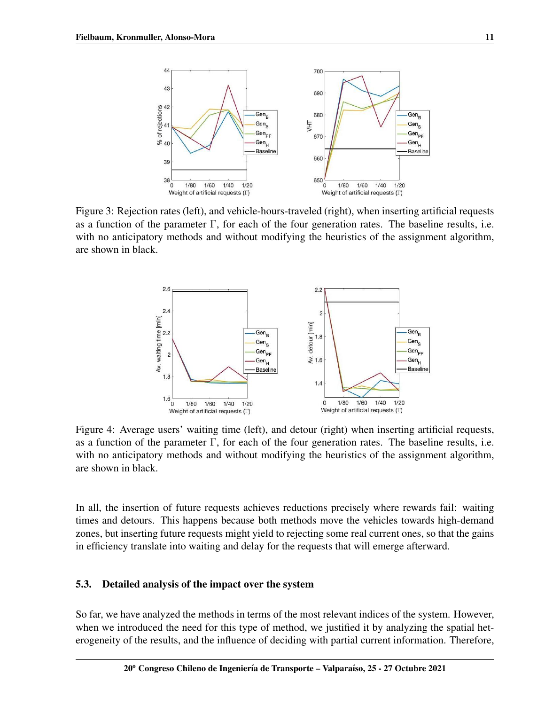<span id="page-10-0"></span>

<span id="page-10-1"></span>Figure 3: Rejection rates (left), and vehicle-hours-traveled (right), when inserting artificial requests as a function of the parameter  $\Gamma$ , for each of the four generation rates. The baseline results, i.e. with no anticipatory methods and without modifying the heuristics of the assignment algorithm, are shown in black.



Figure 4: Average users' waiting time (left), and detour (right) when inserting artificial requests, as a function of the parameter Γ, for each of the four generation rates. The baseline results, i.e. with no anticipatory methods and without modifying the heuristics of the assignment algorithm, are shown in black.

In all, the insertion of future requests achieves reductions precisely where rewards fail: waiting times and detours. This happens because both methods move the vehicles towards high-demand zones, but inserting future requests might yield to rejecting some real current ones, so that the gains in efficiency translate into waiting and delay for the requests that will emerge afterward.

## 5.3. Detailed analysis of the impact over the system

So far, we have analyzed the methods in terms of the most relevant indices of the system. However, when we introduced the need for this type of method, we justified it by analyzing the spatial heterogeneity of the results, and the influence of deciding with partial current information. Therefore,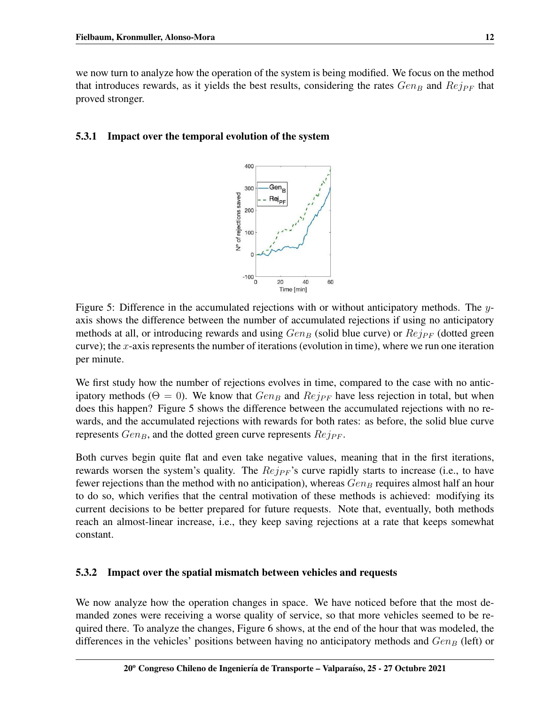we now turn to analyze how the operation of the system is being modified. We focus on the method that introduces rewards, as it yields the best results, considering the rates  $Gen_B$  and  $Ref_{PF}$  that proved stronger.

## <span id="page-11-0"></span>5.3.1 Impact over the temporal evolution of the system



Figure 5: Difference in the accumulated rejections with or without anticipatory methods. The yaxis shows the difference between the number of accumulated rejections if using no anticipatory methods at all, or introducing rewards and using  $Gen_B$  (solid blue curve) or  $Reip_F$  (dotted green curve); the x-axis represents the number of iterations (evolution in time), where we run one iteration per minute.

We first study how the number of rejections evolves in time, compared to the case with no anticipatory methods ( $\Theta = 0$ ). We know that  $Gen_B$  and  $Rej_{PF}$  have less rejection in total, but when does this happen? Figure [5](#page-11-0) shows the difference between the accumulated rejections with no rewards, and the accumulated rejections with rewards for both rates: as before, the solid blue curve represents  $Gen_B$ , and the dotted green curve represents  $Rej_{PF}$ .

Both curves begin quite flat and even take negative values, meaning that in the first iterations, rewards worsen the system's quality. The  $Rej_{PF}$ 's curve rapidly starts to increase (i.e., to have fewer rejections than the method with no anticipation), whereas  $Gen_B$  requires almost half an hour to do so, which verifies that the central motivation of these methods is achieved: modifying its current decisions to be better prepared for future requests. Note that, eventually, both methods reach an almost-linear increase, i.e., they keep saving rejections at a rate that keeps somewhat constant.

## 5.3.2 Impact over the spatial mismatch between vehicles and requests

We now analyze how the operation changes in space. We have noticed before that the most demanded zones were receiving a worse quality of service, so that more vehicles seemed to be required there. To analyze the changes, Figure [6](#page-12-0) shows, at the end of the hour that was modeled, the differences in the vehicles' positions between having no anticipatory methods and  $Gen_B$  (left) or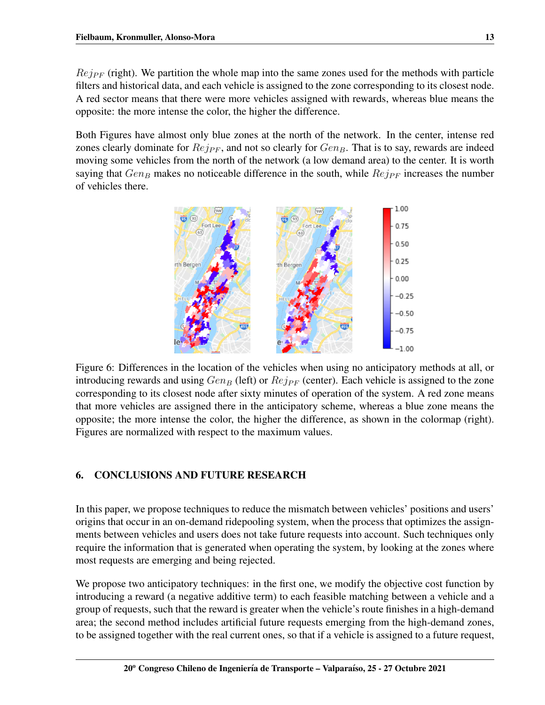$Rej_{PF}$  (right). We partition the whole map into the same zones used for the methods with particle filters and historical data, and each vehicle is assigned to the zone corresponding to its closest node. A red sector means that there were more vehicles assigned with rewards, whereas blue means the opposite: the more intense the color, the higher the difference.

<span id="page-12-0"></span>Both Figures have almost only blue zones at the north of the network. In the center, intense red zones clearly dominate for  $Rej_{PF}$ , and not so clearly for  $Gen_B$ . That is to say, rewards are indeed moving some vehicles from the north of the network (a low demand area) to the center. It is worth saying that  $Gen_B$  makes no noticeable difference in the south, while  $Ref_{PF}$  increases the number of vehicles there.



Figure 6: Differences in the location of the vehicles when using no anticipatory methods at all, or introducing rewards and using  $Gen_B$  (left) or  $Rej_{PF}$  (center). Each vehicle is assigned to the zone corresponding to its closest node after sixty minutes of operation of the system. A red zone means that more vehicles are assigned there in the anticipatory scheme, whereas a blue zone means the opposite; the more intense the color, the higher the difference, as shown in the colormap (right). Figures are normalized with respect to the maximum values.

# 6. CONCLUSIONS AND FUTURE RESEARCH

In this paper, we propose techniques to reduce the mismatch between vehicles' positions and users' origins that occur in an on-demand ridepooling system, when the process that optimizes the assignments between vehicles and users does not take future requests into account. Such techniques only require the information that is generated when operating the system, by looking at the zones where most requests are emerging and being rejected.

We propose two anticipatory techniques: in the first one, we modify the objective cost function by introducing a reward (a negative additive term) to each feasible matching between a vehicle and a group of requests, such that the reward is greater when the vehicle's route finishes in a high-demand area; the second method includes artificial future requests emerging from the high-demand zones, to be assigned together with the real current ones, so that if a vehicle is assigned to a future request,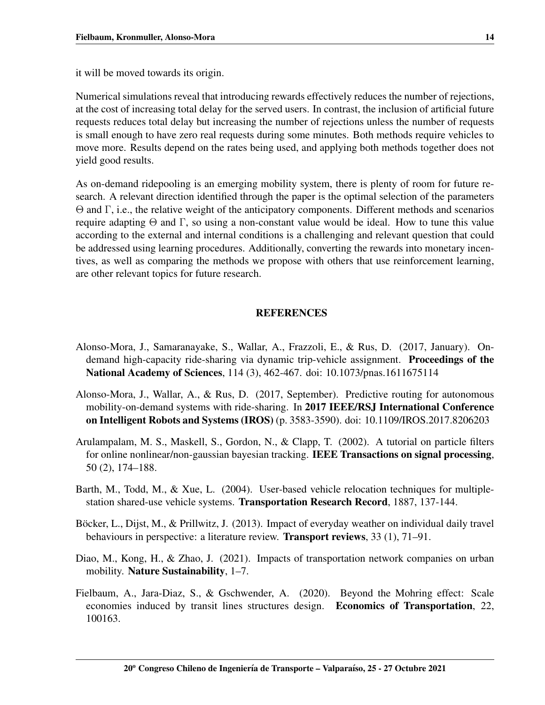it will be moved towards its origin.

Numerical simulations reveal that introducing rewards effectively reduces the number of rejections, at the cost of increasing total delay for the served users. In contrast, the inclusion of artificial future requests reduces total delay but increasing the number of rejections unless the number of requests is small enough to have zero real requests during some minutes. Both methods require vehicles to move more. Results depend on the rates being used, and applying both methods together does not yield good results.

As on-demand ridepooling is an emerging mobility system, there is plenty of room for future research. A relevant direction identified through the paper is the optimal selection of the parameters Θ and Γ, i.e., the relative weight of the anticipatory components. Different methods and scenarios require adapting  $Θ$  and Γ, so using a non-constant value would be ideal. How to tune this value according to the external and internal conditions is a challenging and relevant question that could be addressed using learning procedures. Additionally, converting the rewards into monetary incentives, as well as comparing the methods we propose with others that use reinforcement learning, are other relevant topics for future research.

## **REFERENCES**

- <span id="page-13-3"></span>Alonso-Mora, J., Samaranayake, S., Wallar, A., Frazzoli, E., & Rus, D. (2017, January). Ondemand high-capacity ride-sharing via dynamic trip-vehicle assignment. Proceedings of the National Academy of Sciences, 114 (3), 462-467. doi: 10.1073/pnas.1611675114
- <span id="page-13-4"></span>Alonso-Mora, J., Wallar, A., & Rus, D. (2017, September). Predictive routing for autonomous mobility-on-demand systems with ride-sharing. In 2017 IEEE/RSJ International Conference on Intelligent Robots and Systems (IROS) (p. 3583-3590). doi: 10.1109/IROS.2017.8206203
- <span id="page-13-5"></span>Arulampalam, M. S., Maskell, S., Gordon, N., & Clapp, T. (2002). A tutorial on particle filters for online nonlinear/non-gaussian bayesian tracking. IEEE Transactions on signal processing, 50 (2), 174–188.
- <span id="page-13-2"></span>Barth, M., Todd, M., & Xue, L. (2004). User-based vehicle relocation techniques for multiplestation shared-use vehicle systems. Transportation Research Record, 1887, 137-144.
- <span id="page-13-6"></span>Böcker, L., Dijst, M., & Prillwitz, J. (2013). Impact of everyday weather on individual daily travel behaviours in perspective: a literature review. Transport reviews, 33 (1), 71–91.
- <span id="page-13-0"></span>Diao, M., Kong, H., & Zhao, J. (2021). Impacts of transportation network companies on urban mobility. Nature Sustainability, 1–7.
- <span id="page-13-1"></span>Fielbaum, A., Jara-Diaz, S., & Gschwender, A. (2020). Beyond the Mohring effect: Scale economies induced by transit lines structures design. Economics of Transportation, 22, 100163.